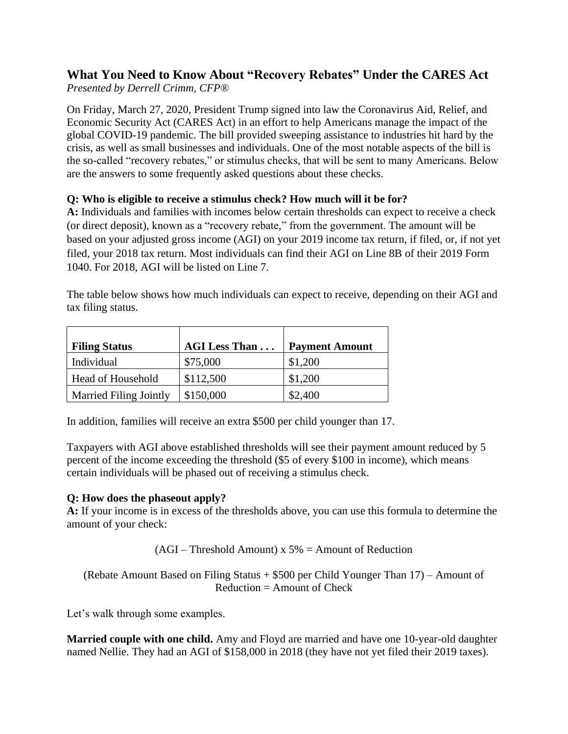# **What You Need to Know About "Recovery Rebates" Under the CARES Act**

*Presented by Derrell Crimm, CFP®*

On Friday, March 27, 2020, President Trump signed into law the Coronavirus Aid, Relief, and Economic Security Act (CARES Act) in an effort to help Americans manage the impact of the global COVID-19 pandemic. The bill provided sweeping assistance to industries hit hard by the crisis, as well as small businesses and individuals. One of the most notable aspects of the bill is the so-called "recovery rebates," or stimulus checks, that will be sent to many Americans. Below are the answers to some frequently asked questions about these checks.

## **Q: Who is eligible to receive a stimulus check? How much will it be for?**

**A:** Individuals and families with incomes below certain thresholds can expect to receive a check (or direct deposit), known as a "recovery rebate," from the government. The amount will be based on your adjusted gross income (AGI) on your 2019 income tax return, if filed, or, if not yet filed, your 2018 tax return. Most individuals can find their AGI on Line 8B of their 2019 Form 1040. For 2018, AGI will be listed on Line 7.

The table below shows how much individuals can expect to receive, depending on their AGI and tax filing status.

| <b>Filing Status</b>          | <b>AGI Less Than</b> | <b>Payment Amount</b> |
|-------------------------------|----------------------|-----------------------|
| Individual                    | \$75,000             | \$1,200               |
| Head of Household             | \$112,500            | \$1,200               |
| <b>Married Filing Jointly</b> | \$150,000            | \$2,400               |

In addition, families will receive an extra \$500 per child younger than 17.

Taxpayers with AGI above established thresholds will see their payment amount reduced by 5 percent of the income exceeding the threshold (\$5 of every \$100 in income), which means certain individuals will be phased out of receiving a stimulus check.

## **Q: How does the phaseout apply?**

**A:** If your income is in excess of the thresholds above, you can use this formula to determine the amount of your check:

 $(AGI - Threshold Amount)$  x 5% = Amount of Reduction

(Rebate Amount Based on Filing Status + \$500 per Child Younger Than 17) – Amount of  $Reduction = Amount of Check$ 

Let's walk through some examples.

**Married couple with one child.** Amy and Floyd are married and have one 10-year-old daughter named Nellie. They had an AGI of \$158,000 in 2018 (they have not yet filed their 2019 taxes).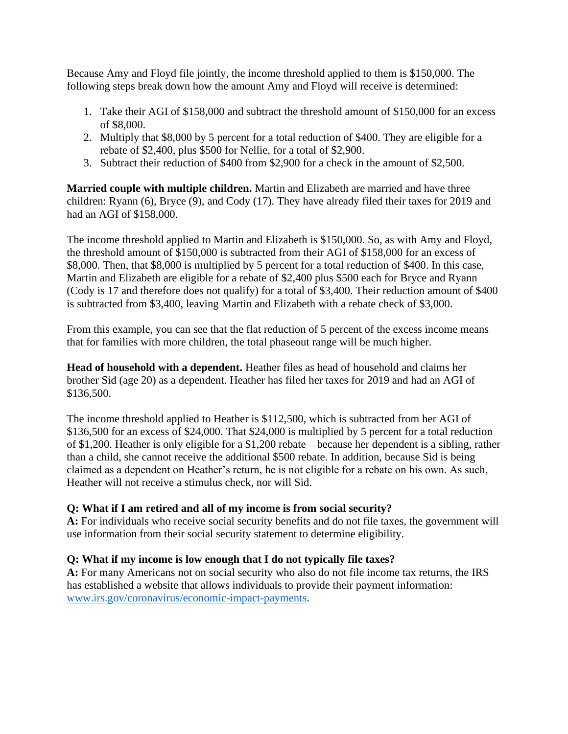Because Amy and Floyd file jointly, the income threshold applied to them is \$150,000. The following steps break down how the amount Amy and Floyd will receive is determined:

- 1. Take their AGI of \$158,000 and subtract the threshold amount of \$150,000 for an excess of \$8,000.
- 2. Multiply that \$8,000 by 5 percent for a total reduction of \$400. They are eligible for a rebate of \$2,400, plus \$500 for Nellie, for a total of \$2,900.
- 3. Subtract their reduction of \$400 from \$2,900 for a check in the amount of \$2,500.

**Married couple with multiple children.** Martin and Elizabeth are married and have three children: Ryann (6), Bryce (9), and Cody (17). They have already filed their taxes for 2019 and had an AGI of \$158,000.

The income threshold applied to Martin and Elizabeth is \$150,000. So, as with Amy and Floyd, the threshold amount of \$150,000 is subtracted from their AGI of \$158,000 for an excess of \$8,000. Then, that \$8,000 is multiplied by 5 percent for a total reduction of \$400. In this case, Martin and Elizabeth are eligible for a rebate of \$2,400 plus \$500 each for Bryce and Ryann (Cody is 17 and therefore does not qualify) for a total of \$3,400. Their reduction amount of \$400 is subtracted from \$3,400, leaving Martin and Elizabeth with a rebate check of \$3,000.

From this example, you can see that the flat reduction of 5 percent of the excess income means that for families with more children, the total phaseout range will be much higher.

**Head of household with a dependent.** Heather files as head of household and claims her brother Sid (age 20) as a dependent. Heather has filed her taxes for 2019 and had an AGI of \$136,500.

The income threshold applied to Heather is \$112,500, which is subtracted from her AGI of \$136,500 for an excess of \$24,000. That \$24,000 is multiplied by 5 percent for a total reduction of \$1,200. Heather is only eligible for a \$1,200 rebate—because her dependent is a sibling, rather than a child, she cannot receive the additional \$500 rebate. In addition, because Sid is being claimed as a dependent on Heather's return, he is not eligible for a rebate on his own. As such, Heather will not receive a stimulus check, nor will Sid.

#### **Q: What if I am retired and all of my income is from social security?**

**A:** For individuals who receive social security benefits and do not file taxes, the government will use information from their social security statement to determine eligibility.

#### **Q: What if my income is low enough that I do not typically file taxes?**

**A:** For many Americans not on social security who also do not file income tax returns, the IRS has established a website that allows individuals to provide their payment information: [www.irs.gov/coronavirus/economic-impact-payments.](http://www.irs.gov/coronavirus/economic-impact-payments)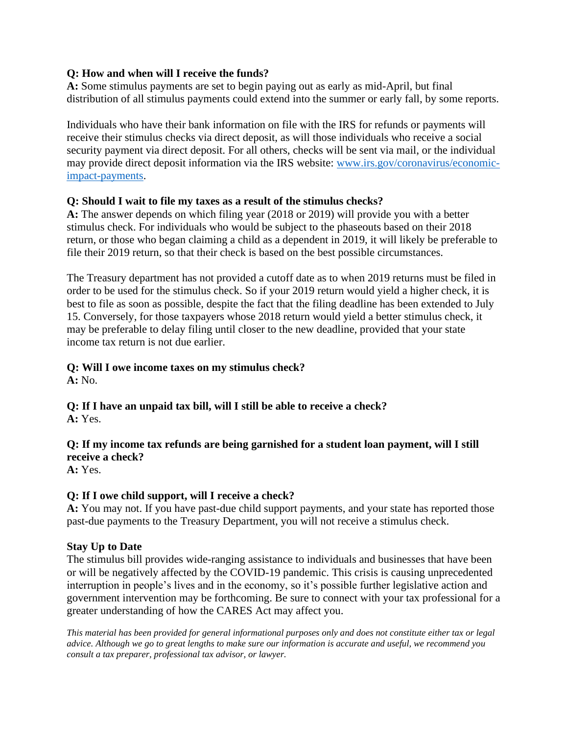#### **Q: How and when will I receive the funds?**

**A:** Some stimulus payments are set to begin paying out as early as mid-April, but final distribution of all stimulus payments could extend into the summer or early fall, by some reports.

Individuals who have their bank information on file with the IRS for refunds or payments will receive their stimulus checks via direct deposit, as will those individuals who receive a social security payment via direct deposit. For all others, checks will be sent via mail, or the individual may provide direct deposit information via the IRS website: [www.irs.gov/coronavirus/economic](http://www.irs.gov/coronavirus/economic-impact-payments)[impact-payments.](http://www.irs.gov/coronavirus/economic-impact-payments)

#### **Q: Should I wait to file my taxes as a result of the stimulus checks?**

**A:** The answer depends on which filing year (2018 or 2019) will provide you with a better stimulus check. For individuals who would be subject to the phaseouts based on their 2018 return, or those who began claiming a child as a dependent in 2019, it will likely be preferable to file their 2019 return, so that their check is based on the best possible circumstances.

The Treasury department has not provided a cutoff date as to when 2019 returns must be filed in order to be used for the stimulus check. So if your 2019 return would yield a higher check, it is best to file as soon as possible, despite the fact that the filing deadline has been extended to July 15. Conversely, for those taxpayers whose 2018 return would yield a better stimulus check, it may be preferable to delay filing until closer to the new deadline, provided that your state income tax return is not due earlier.

#### **Q: Will I owe income taxes on my stimulus check?**

**A:** No.

**Q: If I have an unpaid tax bill, will I still be able to receive a check? A:** Yes.

## **Q: If my income tax refunds are being garnished for a student loan payment, will I still receive a check?**

**A:** Yes.

#### **Q: If I owe child support, will I receive a check?**

**A:** You may not. If you have past-due child support payments, and your state has reported those past-due payments to the Treasury Department, you will not receive a stimulus check.

#### **Stay Up to Date**

The stimulus bill provides wide-ranging assistance to individuals and businesses that have been or will be negatively affected by the COVID-19 pandemic. This crisis is causing unprecedented interruption in people's lives and in the economy, so it's possible further legislative action and government intervention may be forthcoming. Be sure to connect with your tax professional for a greater understanding of how the CARES Act may affect you.

*This material has been provided for general informational purposes only and does not constitute either tax or legal advice. Although we go to great lengths to make sure our information is accurate and useful, we recommend you consult a tax preparer, professional tax advisor, or lawyer.*